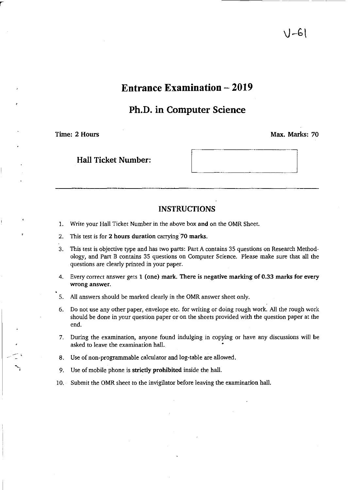--------

# **Entrance Examination - 2019**

## **Ph.D. in Computer Science**

~~

**"** 

**Time: 2 Hours** Max. Marks: 70

## **Hall Ticket Number:**

## **INSTRUCTIONS**

- 1. Write your Hall Ticket Number in the above box and on the OMR Sheet.
- 2. This test is for 2 hours duration carrying 70 marks.
- 3. This test is objective type and has two parts: Part A contains 35 questions on Research Methodology, and Part B contains 35 questions on Computer Science. Please make sure that all the questions are clearly printed in your paper.
- 4. Every correct answer gets 1 (one) mark. There is negative marking of 0.33 marks for every wrong answer.
- 5. All answers should be marked clearly in the OMR answer sheet only.
- 6. Do not use any other paper, envelope etc. for writing or doing rough work. All the rough work should be done in your question paper or on the sheets provided with the question paper at the end.
- 7. During the examination, anyone found indulging in copying or have any discussions will be asked to leave the examination hall.
- 8. Use of non-programmable calculator and log-table are allowed.
- 9. Use of mobile phone is strictly prohibited inside the hall.
- 10. Submit the OMR sheet to the invigilator before leaving the examination hall.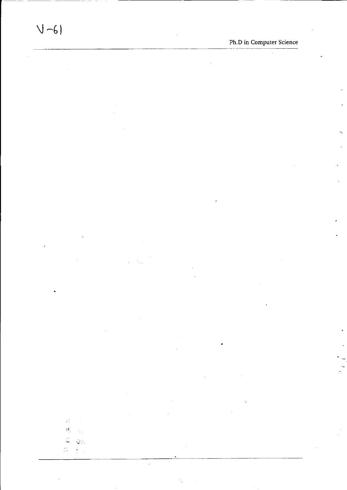$V - 6$ 

 $\mathcal{Q},\mathcal{V}_0$ 

 $\frac{1}{2}$  .

 $\hat{z}$ 

ł,

 $\mathcal{L}$  $\hat{\mathcal{G}}$ Q,  $\frac{2\pi}{\sqrt{3}}$ 

Ph.D in Computer Science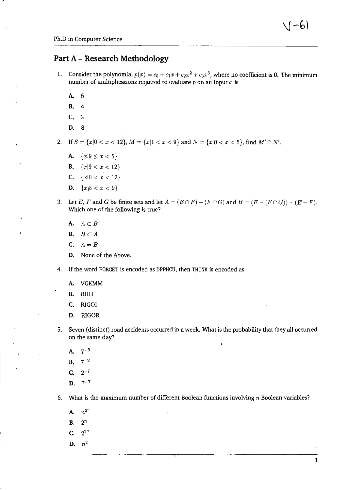## **Part A - Research Methodology**

- 1. Consider the polynomial  $p(x) = c_0 + c_1x + c_2x^2 + c_3x^3$ , where no coefficient is 0. The minimum number of multiplications required to evaluate  $p$  on an input  $x$  is
	- A. 6
	- B. 4
	- C. 3
	- D. 8

2. If  $S = \{x \mid 0 < x < 12\}$ ,  $M = \{x \mid 1 < x < 9\}$  and  $N = \{x \mid 0 < x < 5\}$ , find  $M' \cap N'$ .

- A.  $\{x | 9 \le x < 5\}$
- B.  $\{x | 9 < x < 12\}$
- C.  ${x \mid 0 < x < 12}$
- D.  ${x5 < x < 9}$
- 3. Let E, F and G be finite sets and let  $A = (E \cap F) (F \cap G)$  and  $B = (E (E \cap G)) (E F)$ . Which one of the following is true?
	- A.  $A \subset B$
	- **B.**  $B \subset A$
	- C.  $A=B$
	- D. None of the Above.

4. If the word FORGET is encoded as DPPHCU, then THINK is encoded as

- A. VGKMM
- B. RIlL!
- C. RIGO!
- D. RIGOR
- 5. Seven (distinct) road accidents occurred in a week. What is the probability that they all occurred on the same day?
	- A.  $7^{-6}$
	- **B.**  $7^{-2}$
	- $C. 2^{-7}$
	- D.  $7^{-7}$

6. What is the maximum number of different Boolean functions involving *n* Boolean variables?

- $n^{2^n}$ A.
- $2^{n}% \times2^{n}$ **B.**
- $2^{2^n}$ C.
- $\boldsymbol{n^2}$ D.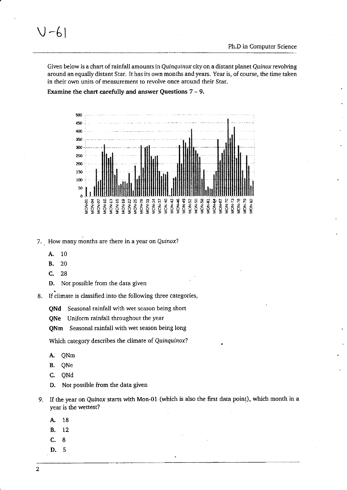$V - 61$ 

Given below is a chart of rainfall amounts in Quinquinox city on a distant planet Quinox revolving around an equally distant Star. It has its own months and years. Year is, of course, the time taken in their own units of measurement to revolve once around their Star.

#### Examine the chart carefully and answer Questions 7 - 9.



7. How many months are there in a year on Quinox?

- A. 10
- B. 20
- C. 28
- D. Not possible from the data given
- 8. If climate is classified into the following three categories,

QNd Seasonal rainfall with wet season being short

QNe Uniform rainfall throughout the year

QNm Seasonal rainfall with wet season being long

Which category describes the climate of Quinquinox?

- A. QNm
- B. QNe
- C. QNd
- D. Not possible from the data given
- 9. If the year on Quinox starts with Mon-Ol (which is also the first data point), which month in a year is the wettest?
	- A. 18
	- B. 12
	- C. 8
	- D. 5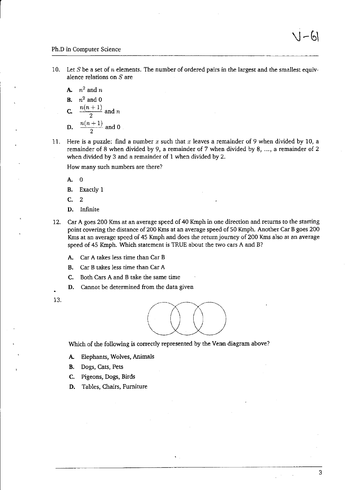r

- 10. Let *S* be a set of *n* elements. The number of ordered pairs in the largest and the smallest equivalence relations on S are
	- A.  $n^2$  and  $n$ **B.**  $n^2$  and 0 **C.**  $\frac{n(n+1)}{2}$  and *n* **D.**  $\frac{n(n+1)}{2}$  and 0
- 11. Here is a puzzle: find a number *x* such that *x* leaves a remainder of 9 when divided by 10, a remainder of 8 when divided by 9, a remainder of 7 when divided by 8, ... , a remainder of 2 when divided by 3 and a remainder of 1 when divided by 2.

How many such numbers are there?

- A. 0
- **B.** Exactly 1
- C. 2
- **D.** Infinite
- 12. Car A goes 200 Kms at an average speed of 40 Kmph in one direction and returns to the starting point covering the distance of 200 Kms at an average speed of 50 Kmph. Another Car B goes 200 Kms at an average speed of 45 Kmph and does the return journey of 200 Kms also at an average speed of 45 Kmph. Which statement is TRUE about the two cars A and B?
	- A. Car A takes less time than Car B
	- **B.** Car B takes less time than Car A
	- C. Both Cars A and B take the same time
	- **D.** Cannot be determined from the data given
- 13.

Which of the following is correctly represented by the Venn diagram above?

- A. Elephants, Wolves, Animals
- **B.** Dogs, Cats, Pets
- C. Pigeons, Dogs, Birds
- **D.** Tables, Chairs, Furniture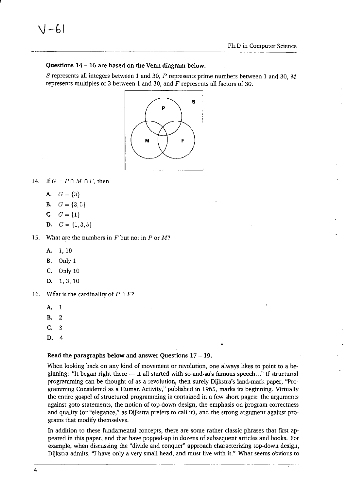r

#### Questions 14 - 16 are based on the Venn diagram below.

S represents all integers between 1 and 30, P represents prime numbers between 1 and 30, M represents multiples of 3 between 1 and 30, and F represents all factors of 30.



14. If  $G = P \cap M \cap F$ , then

- A.  $G = \{3\}$
- **B.**  $G = \{3, 5\}$
- **C.**  $G = \{1\}$
- D.  $G = \{1,3,5\}$
- 15. What are the numbers in *F* but not in *P* or *M?* 
	- A. 1, 10
	- B. Only 1
	- C. Only 10
	- D. 1,3,10
- 16. What is the cardinality of  $P \cap F$ ?
	- A. 1
	- B. 2
	- C. 3
	- D. 4

#### Read the paragraphs below and answer Questions 17 - 19.

When looking back on any kind of movement or revolution, one always likes to point to a beginning: "It began right there  $-$  it all started with so-and-so's famous speech..." If structured programming can be thought of as a revolution, then surely Dijkstra's land-mark paper, "Programming Considered as a Human Activity," published in 1965, marks its beginning. Virtually the entire gospel of structured programming is contained in a few short pages: the arguments against goto statements, the notion of top-down design, the emphasis on program correctness and quality (or "elegance," as Dijkstra prefers to call it), and the strong argument against programs that modify themselves.

In addition to these fundamental concepts, there are some rather classic phrases that first appeared in this paper, and that have popped-up in dozens of subsequent articles and books. For example, when discussing the "divide and conquer" approach characterizing top-down design, Dijkstra admits, "I have only a very small head, and must live with it." What seems obvious to

4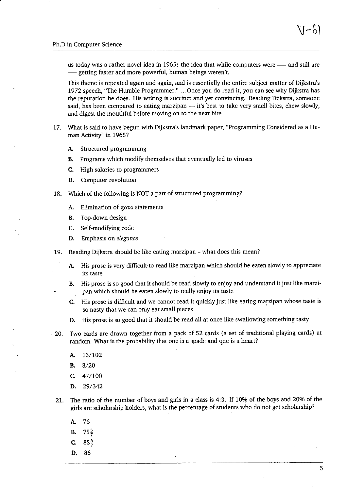#### Ph.D in Computer Science

us today was a rather novel idea in 1965: the idea that while computers were  $-$  and still are - getting faster and more powerful, human beings weren't.

This theme is repeated again and again, and is essentially the entire subject matter of Dijkstra's 1972 speech, "The Humble Programmer." ... Once you do read it, you can see why Dijkstra has the reputation he does. His writing is succinct and yet convincing. Reading Dijkstra, someone said, has been compared to eating marzipan  $-$  it's best to take very small bites, chew slowly, and digest the mouthful before moving on to the next bite.

- 17. What is said to have begun with Dijkstra's landmark paper, "Programming Considered as a Human Activity" in 1965?
	- A. Structured programming
	- B. Programs which modify themselves that eventually led to viruses
	- C. High salaries to programmers
	- D. Computer revolution
- 18. Which of the following is NOT a part of structured programming?
	- A. Elimination of goto statements
	- B, Top-down design
	- C. Self-modifying code
	- D, Emphasis on *elegance*
- 19. Reading Dijkstra should be like eating marzipan what does this mean?
	- A. His prose is very difficult to read like marzipan which should be eaten slowly to appreciate its taste
	- B. His prose is so good that it should be read slowly to enjoy and understand it just like marzipan which should be eaten slowly to really enjoy its taste
	- C. His prose is difficult and we cannot read it quickly just like eating marzipan whose taste is so nasty that we can only eat small pieces
	- D. His prose is so good that it should be read all at once like swallowing something tasty
- 20. Two cards are drawn together from a pack of 52 cards (a set of traditional playing cards) at random. What is the probability that one is a spade and one is a heart?
	- A. 13/102
	- B. 3/20
	- C. 47/100
	- D. 29/342
- 21. The ratio of the number of boys and girls in a class is 4:3. If 10% of the boys and 20% of the girls are scholarship holders, what is the percentage of students who do not get scholarship?
	- A. 76
	- **B.** 75 $\frac{5}{7}$
	- **C.** 85 $\frac{5}{7}$
	- D. 86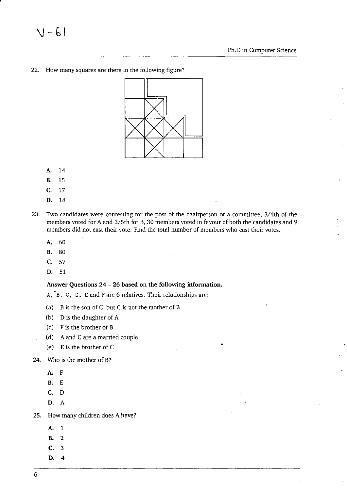#### 22. How many squares are there in the following figure?



- A. 14
- B. 15
- C. 17
- D. 18
- 23. Two candidates were contesting for the post of the chairperson of a committee, *3/4th* of the members voted for A and *3/5th* for B, 30 members voted in favour of both the candidates and 9 members did not cast their vote. Find the total number of members who cast their votes.
	- A. 60
	- B. 80
	- C. 57
	- D. 51

### Answer Questions 24 - 26 based on the following information.

A, 'B, C, D, E and Fare 6 relatives. Their relationships are:

- (a) B is the son of C, but C is not the mother of B
- (b) D is the daughter of A
- (c) F is the brother of B
- (d) A and C are a married couple
- (e) E is the brother of C
- 24. Who is the mother of B?
	- A. F
	- B. E
	- C. D
	- D. A
- 25. How many children does A have?
	- A. 1
	- B. 2
	- C. 3
	- D. 4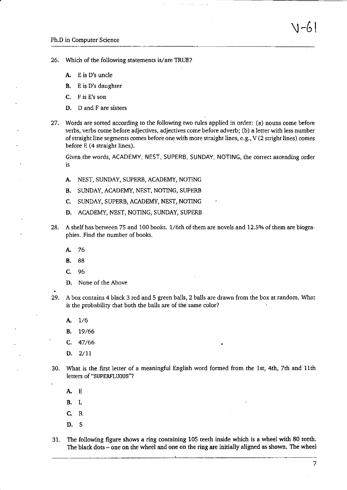,

- 26. Which of the following statements is/are TRUE?
	- A. E is D's uncle
	- B. E is D's daughter
	- C. F is E's son
	- D. D and F are sisters
- 27. Words are sorted according to the following two rules applied in order: (a) nouns come before verbs, verbs come before adjectives, adjectives come before adverb; (b) a letter with less number of straight line segments comes before one with more straight lines, e.g., V (2 stright lines) comes before E (4 straight lines).

Given the words, ACADEMY, NEST, SUPERB. SUNDAY, NOTING, the correct ascending order is

- A. NEST, SUNDAY, SUPERB, ACADEMY, NOTING
- B. SUNDAY, ACADEMY, NEST, NOTING, SUPERB
- C. SUNDAY, SUPERB, ACADEMY, NEST, NOTING
- D. ACADEMY, NEST, NOTING, SUNDAY, SUPERB
- 28. A shelf has between 75 and 100 books. 1/6th of them are novels and 12.5% of them are biographies\_ .Find the number of books.
	- A. 76
	- B. 88
	- C. 96
	- D. None of the Above
- 29. A box contains 4 black 3 red and 5 green balls, 2 balls are drawn from the box at random. What is the probability that both the balls are of the same color?
	- A. 1/6
	- B. 19/66
	- C. 47/66
	- D. 2/11
- 30. What is the first letter of a meaningful English word formed from the 1st, 4th, 7th and 11th letters of "SUPERFLUOUS"?
	- A. E
	- B. L
	- C. R
	- D. S
- 31. The following figure shows a ring containing 105 teeth inside which is a wheel with 80 teeth. The black dots – one on the wheel and one on the ring are initially aligned as shown. The wheel

7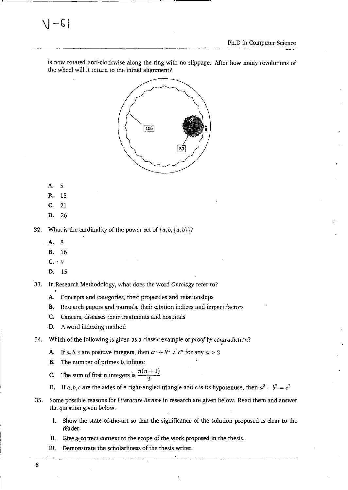is now rotated anti-clockwise along the ring with no slippage. Mter how many revolutions of the wheel will it return to the initial alignment?



A. 5

 $\left| -6 \right|$ 

- B. 15
- C. 21
- D. 26

32. What is the cardinality of the power set of  $\{a, b, \{a, b\}\}$ ?

r ----.--------------------------------------

- A. 8
- B. 16
- C. 9
- D. 15

33. In Research Methodology, what does the word *Ontology* refer to?

- A- Concepts and categories, their properties and relationships
- B. Research papers and journals, their citation indices and impact factors
- C. Cancers, diseases their treatments and hospitals
- D. A word indexing method
- 34. Which of the following is given as a classic example of *proof by contradiction*?
	- A. If *a, b, c* are positive integers, then  $a^n + b^n \neq c^n$  for any  $n > 2$
	- B. The number of primes is infinite
	- **C.** The sum of first *n* integers is  $\frac{n(n+1)}{2}$
	- D. If  $a, b, c$  are the sides of a right-angled triangle and c is its hypotenuse, then  $a^2 + b^2 = c^2$
- 35. Some possible reasons for *Literature Review* in research are given below. Read them and answer the question given below.
	- 1. Show the state·of-the-art so that the significance of the solution proposed is clear to the reader.
	- II. Give. g. correct context to the scope of the work proposed in the thesis.
	- III. Demonstrate the scholarliness of the thesis writer.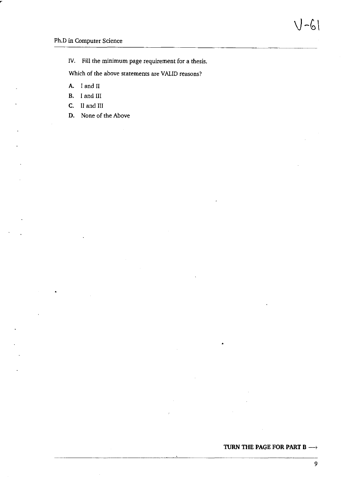IV. FiJI the minimum page requirement for a thesis.

Which of the above statements are VALID reasons?

A. I and II

B. I and III

C. II and III

D. None of the Above

### TURN THE PAGE FOR PART **B**  $\longrightarrow$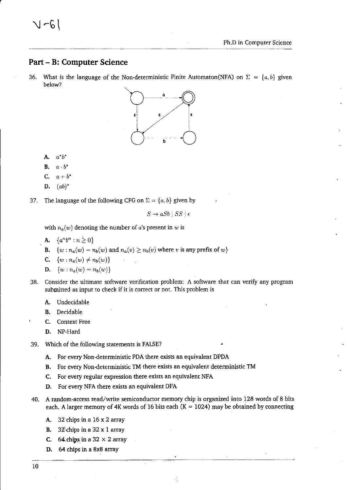r

## **Part - B: Computer Science**

36. What is the language of the Non-deterministic Finite Automaton(NFA) on  $\Sigma = \{a, b\}$  given below?



- **A. a\*b\***
- B. *a· b'*
- **C.**  $a + b^*$
- D. *(ab)'*
- 37. The language of the following CFG on  $\Sigma = \{a, b\}$  given by

$$
S \to aSb \mid SS \mid \epsilon
$$

with  $n_a(w)$  denoting the number of a's present in w is

- A.  $\{a^nb^n : n \geq 0\}$
- B.  $\{w: n_a(w) = n_b(w) \text{ and } n_a(v) \geq n_b(v) \text{ where } v \text{ is any prefix of } w\}$
- **C.**  $\{w: n_a(w) \neq n_b(w)\}\$

$$
D. \quad \{w: n_a(w)=n_b(w)\}
$$

- 38. Consider the ultimate software verification problem: A software that can verify any program submitted as input to check if it is correct or not. This problem is
	- A. Undecidable
	- B. Decidable
	- C. Context Free
	- D. NP-Hard
- 39. Which of the following statements is FALSE?
	- A. For every Non-deterministic PDA there exists an equivalent DPDA
	- B. For every Non-deterministic TM there exists an equivalent deterministic TM
	- C. For every regular expression there exists an equivalent NFA
	- D. For every NFA there exists an equivalent DFA
- 40. A random-access read/write semiconductor memory chip is organized into 128 words of 8 bits each. A larger memory of 4K words of 16 bits each  $(K = 1024)$  may be obtained by connecting
	- A. 32chips in a 16 x 2 array
	- **B.** 32' chips in a 32 x 1 array
	- C. 64, chips in a  $32 \times 2$  array
	- D. 64 chips in a 8x8 array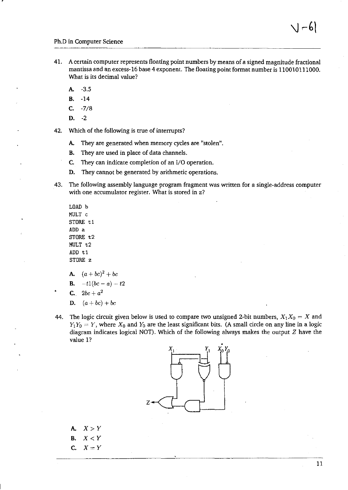- 41. A certain computer represents floating point numbers by means of a signed magnitude fractional mantissa and an excess-16 base 4 exponent. The floating point format number is 110010111000. What is its decimal value?
	- A- -3.5
	- B. -14
	- $C. -7/8$
	- D. -2
- 42. Which of the following is true of interrupts?
	- A. They are generated when memory cycles are "stolen".
	- B. They are used in place of data channels.
	- C. They can indicate completion of an I/O operation.
	- D. They cannot be generated by arithmetic operations.
- 43. The following assembly language program fragment was written for a single-address computer with one accumulator register. What is stored in z?

LOAD b MULT c STORE t1 ADD a STORE t2 MULT t2 ADD tl STORE z

- A.  $(a+bc)^2 + bc$
- **B.**  $-t1(bc a) t2$
- **C.**  $2bc + a^2$
- **D.**  $(a+bc)+bc$
- 44. The logic circuit given below is used to compare two unsigned 2-bit numbers,  $X_1X_0 = X$  and  $Y_1 Y_0 = Y$ , where  $X_0$  and  $Y_0$  are the least significant bits. (A small circle on any line in a logic diagram indicates logical NOT). Which of the following always makes the output  $Z$  have the value I?



- A.  $X > Y$ B.  $X < Y$
- C.  $X=Y$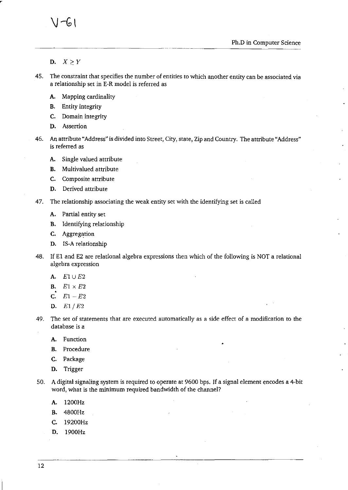### D.  $X>Y$

\| ~G I

45. The constraint that specifies the number of entities to which another entity can be associated via a relationship set in E-R model is referred as

- A. Mapping cardinality
- B. Entity integrity
- C. Domain integrity
- D. Assertion
- 46. An attribute "Address" is divided into Street, City, state, Zip and Country. The attribute "Address" is referred as
	- A. Single valued attribute
	- B. Multivalued attribute
	- C. Composite attribute
	- D. Derived attribute
- 47. The relationship associating the weak entity set with the identifying set is called
	- A. Partial entity set
	- B. Identifying relationship
	- C. Aggregation
	- D. IS-A relationship
- 48. If E1 and E2 are relational algebra expressions then which of the following is NOT a relational algebra expression
	- A.  $E1 \cup E2$
	- **B.**  $E1 \times E2$
	- C.  $E1-E2$
	- D.  $E1/E2$
- 49. The set of statements that are executed automatically as a side effect of a modification to the database is a
	- A. Function
	- **B.** Procedure
	- C. Package
	- D. Trigger
- 50. A digital signaling system is required to operate at 9600 bps. If a signal element encodes a 4-bit word, what is the minimum required bandwidth of the channel?
	- A. 1200Hz
	- B. 4800Hz
	- C. 19200Hz
	- D. 1900Hz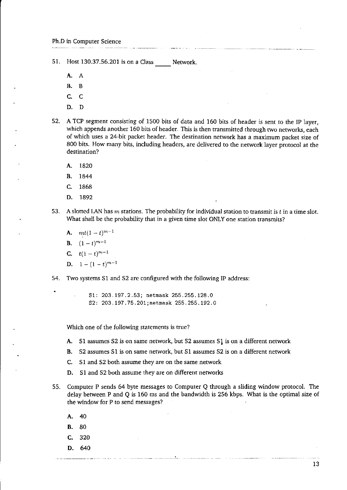51. Host 130.37.56.201 is on a Class Network.

- A. A
- B. B
- C. C
- D. D
- 52. A TCP segment consisting of 1500 bits of data and 160 bits of header is sent to the IP layer, which appends another 160 bits of header. This is then transmitted through two networks, each of which uses a 24-bit packet header. The destination network has a maximum packet size of 800 bits. How many bits, including headers, are delivered to the network layer protocol at the destination?
	- A. 1820
	- B. 1844
	- C. 1868
	- D. 1892
- 53. A slotted LAN has m stations. The probability for individual station to transmit is *t* in a time slot. What shall be the probability that in a given time slot ONLY one station transmits?
	- A.  $mt(1-t)^{m-1}$
	- **B.**  $(1-t)^{m-1}$
	- **C.**  $t(1-t)^{m-1}$
	- **D.**  $1 (1 t)^{m-1}$
- 54. Two systems 51 and 52 are configured with the following IP address:
	- 81: 203.197.2.53; netmask 255.255.128.0 82: 203. 197.75.201;netmask 255.255.192.0

Which one of the following statements is true?

- A. S1 assumes S2 is on same network, but S2 assumes S1 is on a different network
- B. 52 assumes 51 is on same network, but 51 assumes 52 is on a different network
- C. 51 and 52 both assume they are on the same network
- D. 51 and 52 both assume they are on different networks
- 55. Computer P sends 64 byte messages to Computer Q through a sliding window protocol. The delay between P and Q is 160 ms and the bandwidth is 256 kbps. What is the optimal size of the window for P to send messages?
	- A. 40
	- B. 80
	- C. 320
	- D. 640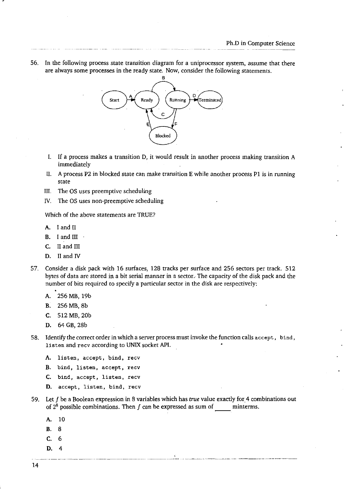56. In the following process state transition diagram for a uniprocessor system, assume that there are always some processes in the ready state. Now, consider the following statements.



- I. If a process makes a transition D, it would result in another process making transition A immediately
- II. A process P2 in blocked state can make transition E while another process PI is in running state
- III. The OS uses preemptive scheduling
- IV. The OS uses non-preemptive scheduling

Which of the above statements are TRUE?

- A. I and II
- B. I and III
- C. II and III
- D. II and IV
- 57. Consider a disk pack with 16 surfaces, 128 tracks per surface and 256 sectors per track. 512 bytes of data are stored in a bit serial manner in a sector. The capacity of the disk pack and the number of bits required to specify a particular sector in the disk are respectively:
	- A. 256 MB, 19b
	- **B.** 256 MB, 8b
	- C. 512 MB, 20b
	- D. 64 GB, 28b
- 58. Identify the correct order in which a server process must invoke the function calls accept, bind, listen and recv according to UNIX socket API.
	- A. **listen, accept,** bind, **recv**
	- B. **bind, listen, accept, recv**
	- C. bind, **accept, listen, recv**
	- D. **accept, listen, bind, recv**
- 59. Let  $f$  be a Boolean expression in 8 variables which has true value exactly for 4 combinations out of  $2^8$  possible combinations. Then f can be expressed as sum of minterms.
	- A. 10
	- B. 8
	- C. 6
	- D. 4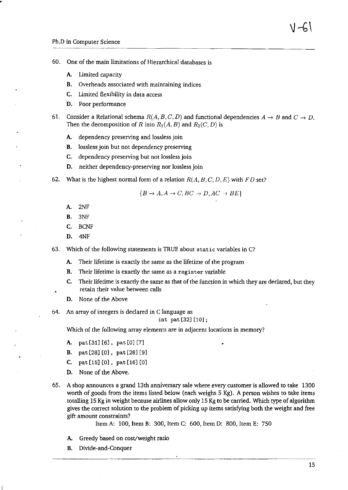- 60. One of the main limitations of Hierarchical databases is
	- A. Limited capacity
	- B. Overheads associated with maintaining indices
	- C. Limited flexibility in data access
	- D. Poor performance

61. Consider a Relational schema  $R(A, B, C, D)$  and functional dependencies  $A \rightarrow B$  and  $C \rightarrow D$ . Then the decomposition of R into  $R_1(A, B)$  and  $R_2(C, D)$  is

- A. dependency preserving and lossless join
- B. lossless join but not dependency preserving
- C. dependency preserving but not lossless join
- D. neither dependency·preserving nor lossless join
- 62. What is the highest normal form of a relation  $R(A, B, C, D, E)$  with FD set?

$$
\{B \to A, A \to C, BC \to D, AC \to BE\}
$$

- A. 2NF
- B. 3NF
- C. BCNF
- D. 4NF

63. Which of the following statements is TRUE about static variables in C?

- A. Their lifetime is exactly the same as the lifetime of the program
- B. Their lifetime is exactly the same as a register variable
- C. Their lifetime is exactly the same as that of the function in which they are declared, but they retain their value between calls
- D. None of the Above
- 64. An array of integers is declared in C language as

$$
\quad\text{int pat[32][10];}
$$

Which of the following array elements are in adjacent locations in memory?

- A. pat [31] [6], pat [0] [7]
- B. pat [28] [0], pat [28] [9]
- C. pat [15] [0], pat [16] [0]
- D. None of the Above.
- 65. A shop announces a grand 13th anniversary sale where every customer is allowed to take 1300 worth of goods from the items listed below (each weighs 5 Kg). A person wishes to take items totalling 15 Kg in weight because airlines allow only 15 Kg to be carried. Which type of algorithm gives the correct solution to the problem of picking up items satisfying both the weight and free gift amount constraints?

Item A: 100, Item B: 300, Item C: 600, Item D: 800, Item E: 750

- A. Greedy based on cost/weight ratio
- B. Divide-and-Conquer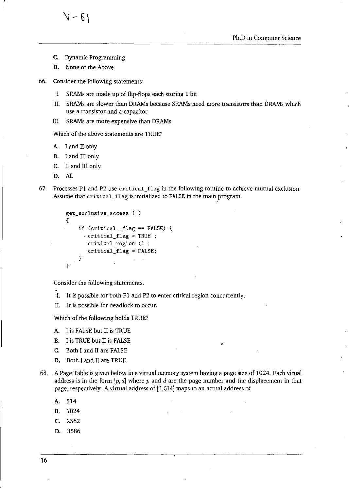- C. Dynamic Programming
- D. None of the Above

 $V - 61$ 

 $\begin{bmatrix} \phantom{-} \end{bmatrix}$ 

66. Consider the following statements:

- 1. SRAMs are made up of flip-flops each storing 1 bit
- II. SRAMs are slower than DRAMs because SRAMs need more transistors than DRAMs which use a transistor and a capacitor
- Ill. SRAMs are more expensive than DRAMs

Which of the above statements are TRUE?

- A- I and II only
- B. I and III only
- C. II and III only
- D. All
- 67. Processes PI and P2 use cri tical\_flag in the following routine to achieve mutual exclusion. Assume that critical\_flag is initialized to FALSE in the main program.

```
get_exclusive_access ( ) 
{ 
} 
    if (critical _flag == FALSE) { 
      critical_flag = TRUE ; 
       critical_region () ; 
       critical_flag = FALSE; 
    }
```
Consider the following statements.

- \. It is possible for both PI and P2 to enter critical region concurrently.
- II. It is possible for deadlock to occur.

Which of the following holds TRUE?

- A. I is FALSE but II is TRUE
- B. I is TRUE but II is FALSE
- C. Both I and II are FALSE
- D. Both I and II are TRUE
- 68. A Page Table is given below in a virtual memory system having a page size of 1024. Each virnal address is in the form  $[p, d]$  where p and d are the page number and the displacement in that page, respectively. A virtual address of  $[0, 514]$  maps to an actual address of
	- A. 514
	- B. 1024
	- C. 2562
	- D. 3586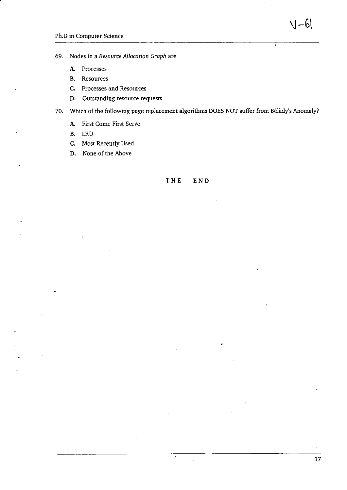÷

- 69. Nodes in a *Resource Allocation Graph* are
	- A. Processes
	- B. Resources
	- C. Processes and Resources
	- D. Outstanding resource requests

70. Which of the following page replacement algorithms DOES NOT suffer from Belady's Anomaly?

- A. First Come First Serve
- B. LRU
- C. Most Recently Used
- D. None of the Above

**THE** END